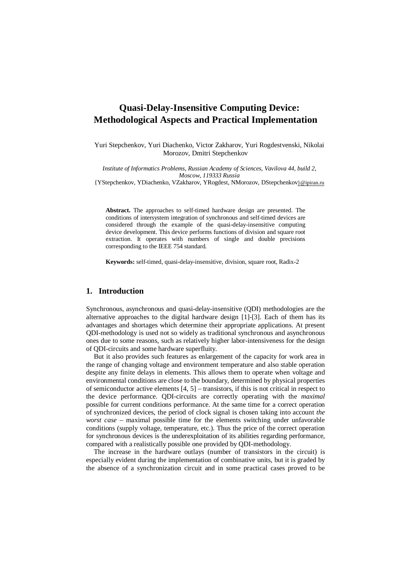# **Quasi-Delay-Insensitive Computing Device: Methodological Aspects and Practical Implementation**

Yuri Stepchenkov, Yuri Diachenko, Victor Zakharov, Yuri Rogdestvenski, Nikolai Morozov, Dmitri Stepchenkov

*Institute of Informatics Problems, Russian Academy of Sciences, Vavilova 44, build 2, Moscow, 119333 Russia*

{YStepchenkov, YDiachenko, VZakharov, YRogdest, NMorozov, DStepchenkov}@ipiran.ru

**Abstract.** The approaches to self-timed hardware design are presented. The conditions of intersystem integration of synchronous and self-timed devices are considered through the example of the quasi-delay-insensitive computing device development. This device performs functions of division and square root extraction. It operates with numbers of single and double precisions corresponding to the IEEE 754 standard.

**Keywords:** self-timed, quasi-delay-insensitive, division, square root, Radix-2

### **1. Introduction**

Synchronous, asynchronous and quasi-delay-insensitive (QDI) methodologies are the alternative approaches to the digital hardware design [1]-[3]. Each of them has its advantages and shortages which determine their appropriate applications. At present QDI-methodology is used not so widely as traditional synchronous and asynchronous ones due to some reasons, such as relatively higher labor-intensiveness for the design of QDI-circuits and some hardware superfluity.

But it also provides such features as enlargement of the capacity for work area in the range of changing voltage and environment temperature and also stable operation despite any finite delays in elements. This allows them to operate when voltage and environmental conditions are close to the boundary, determined by physical properties of semiconductor active elements [4, 5] – transistors, if this is not critical in respect to the device performance. QDI-circuits are correctly operating with the *maximal* possible for current conditions performance. At the same time for a correct operation of synchronized devices, the period of clock signal is chosen taking into account *the worst case* – maximal possible time for the elements switching under unfavorable conditions (supply voltage, temperature, etc.). Thus the price of the correct operation for synchronous devices is the underexploitation of its abilities regarding performance, compared with a realistically possible one provided by QDI-methodology.

The increase in the hardware outlays (number of transistors in the circuit) is especially evident during the implementation of combinative units, but it is graded by the absence of a synchronization circuit and in some practical cases proved to be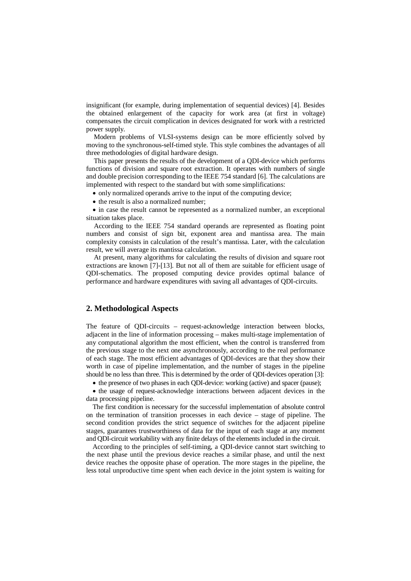insignificant (for example, during implementation of sequential devices) [4]. Besides the obtained enlargement of the capacity for work area (at first in voltage) compensates the circuit complication in devices designated for work with a restricted power supply.

Modern problems of VLSI-systems design can be more efficiently solved by moving to the synchronous-self-timed style. This style combines the advantages of all three methodologies of digital hardware design.

This paper presents the results of the development of a QDI-device which performs functions of division and square root extraction. It operates with numbers of single and double precision corresponding to the IEEE 754 standard [6]. The calculations are implemented with respect to the standard but with some simplifications:

• only normalized operands arrive to the input of the computing device;

• the result is also a normalized number;

 in case the result cannot be represented as a normalized number, an exceptional situation takes place.

According to the IEEE 754 standard operands are represented as floating point numbers and consist of sign bit, exponent area and mantissa area. The main complexity consists in calculation of the result's mantissa. Later, with the calculation result, we will average its mantissa calculation.

At present, many algorithms for calculating the results of division and square root extractions are known [7]-[13]. But not all of them are suitable for efficient usage of QDI-schematics. The proposed computing device provides optimal balance of performance and hardware expenditures with saving all advantages of QDI-circuits.

# **2. Methodological Aspects**

The feature of QDI-circuits – request-acknowledge interaction between blocks, adjacent in the line of information processing – makes multi-stage implementation of any computational algorithm the most efficient, when the control is transferred from the previous stage to the next one asynchronously, according to the real performance of each stage. The most efficient advantages of QDI-devices are that they show their worth in case of pipeline implementation, and the number of stages in the pipeline should be no less than three. This is determined by the order of QDI-devices operation [3]:

the presence of two phases in each QDI-device: working (active) and spacer (pause);

 the usage of request-acknowledge interactions between adjacent devices in the data processing pipeline.

The first condition is necessary for the successful implementation of absolute control on the termination of transition processes in each device – stage of pipeline. The second condition provides the strict sequence of switches for the adjacent pipeline stages, guarantees trustworthiness of data for the input of each stage at any moment and QDI-circuit workability with any finite delays of the elements included in the circuit.

According to the principles of self-timing, a QDI-device cannot start switching to the next phase until the previous device reaches a similar phase, and until the next device reaches the opposite phase of operation. The more stages in the pipeline, the less total unproductive time spent when each device in the joint system is waiting for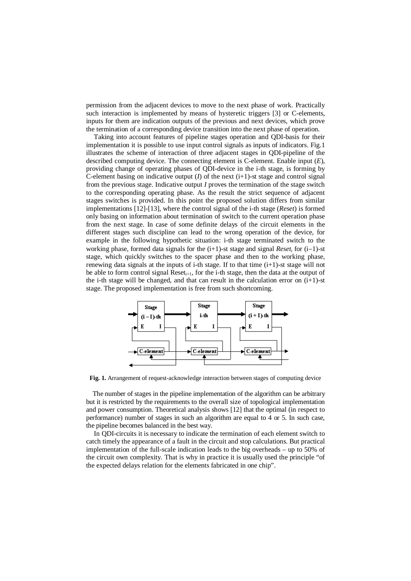permission from the adjacent devices to move to the next phase of work. Practically such interaction is implemented by means of hysteretic triggers [3] or C-elements, inputs for them are indication outputs of the previous and next devices, which prove the termination of a corresponding device transition into the next phase of operation.

Taking into account features of pipeline stages operation and QDI-basis for their implementation it is possible to use input control signals as inputs of indicators. Fig.1 illustrates the scheme of interaction of three adjacent stages in QDI-pipeline of the described computing device. The connecting element is C-element. Enable input (*E*), providing change of operating phases of QDI-device in the i-th stage, is forming by C-element basing on indicative output  $(I)$  of the next  $(i+1)$ -st stage and control signal from the previous stage. Indicative output *I* proves the termination of the stage switch to the corresponding operating phase. As the result the strict sequence of adjacent stages switches is provided. In this point the proposed solution differs from similar implementations [12]-[13], where the control signal of the i-th stage (*Reset*) is formed only basing on information about termination of switch to the current operation phase from the next stage. In case of some definite delays of the circuit elements in the different stages such discipline can lead to the wrong operation of the device, for example in the following hypothetic situation: i-th stage terminated switch to the working phase, formed data signals for the  $(i+1)$ -st stage and signal *Reset<sub>i</sub>* for  $(i-1)$ -st stage, which quickly switches to the spacer phase and then to the working phase, renewing data signals at the inputs of i-th stage. If to that time  $(i+1)$ -st stage will not be able to form control signal  $\text{Reset}_{i+1}$ , for the i-th stage, then the data at the output of the i-th stage will be changed, and that can result in the calculation error on  $(i+1)$ -st stage. The proposed implementation is free from such shortcoming.



**Fig. 1.** Arrangement of request-acknowledge interaction between stages of computing device

The number of stages in the pipeline implementation of the algorithm can be arbitrary but it is restricted by the requirements to the overall size of topological implementation and power consumption. Theoretical analysis shows [12] that the optimal (in respect to performance) number of stages in such an algorithm are equal to 4 or 5. In such case, the pipeline becomes balanced in the best way.

In QDI-circuits it is necessary to indicate the termination of each element switch to catch timely the appearance of a fault in the circuit and stop calculations. But practical implementation of the full-scale indication leads to the big overheads – up to 50% of the circuit own complexity. That is why in practice it is usually used the principle "of the expected delays relation for the elements fabricated in one chip".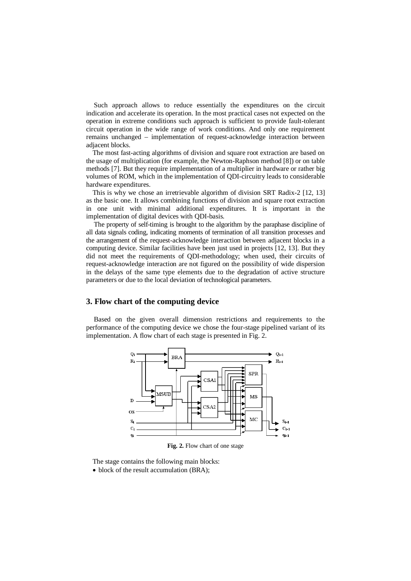Such approach allows to reduce essentially the expenditures on the circuit indication and accelerate its operation. In the most practical cases not expected on the operation in extreme conditions such approach is sufficient to provide fault-tolerant circuit operation in the wide range of work conditions. And only one requirement remains unchanged – implementation of request-acknowledge interaction between adjacent blocks.

The most fast-acting algorithms of division and square root extraction are based on the usage of multiplication (for example, the Newton-Raphson method [8]) or on table methods [7]. But they require implementation of a multiplier in hardware or rather big volumes of ROM, which in the implementation of QDI-circuitry leads to considerable hardware expenditures.

This is why we chose an irretrievable algorithm of division SRT Radix-2 [12, 13] as the basic one. It allows combining functions of division and square root extraction in one unit with minimal additional expenditures. It is important in the implementation of digital devices with QDI-basis.

The property of self-timing is brought to the algorithm by the paraphase discipline of all data signals coding, indicating moments of termination of all transition processes and the arrangement of the request-acknowledge interaction between adjacent blocks in a computing device. Similar facilities have been just used in projects [12, 13]. But they did not meet the requirements of QDI-methodology; when used, their circuits of request-acknowledge interaction are not figured on the possibility of wide dispersion in the delays of the same type elements due to the degradation of active structure parameters or due to the local deviation of technological parameters.

#### **3. Flow chart of the computing device**

Based on the given overall dimension restrictions and requirements to the performance of the computing device we chose the four-stage pipelined variant of its implementation. A flow chart of each stage is presented in Fig. 2.



**Fig. 2.** Flow chart of one stage

The stage contains the following main blocks: • block of the result accumulation (BRA);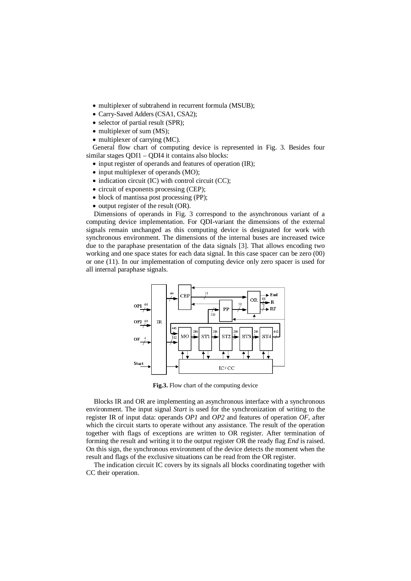- multiplexer of subtrahend in recurrent formula (MSUB);
- Carry-Saved Adders (CSA1, CSA2);
- selector of partial result (SPR);
- multiplexer of sum (MS):
- multiplexer of carrying (MC).

General flow chart of computing device is represented in Fig. 3. Besides four similar stages QDI1 – QDI4 it contains also blocks:

- input register of operands and features of operation (IR);
- input multiplexer of operands (MO);
- $\bullet$  indication circuit (IC) with control circuit (CC);
- circuit of exponents processing (CEP);
- block of mantissa post processing (PP);
- $\bullet$  output register of the result (OR).

Dimensions of operands in Fig. 3 correspond to the asynchronous variant of a computing device implementation. For QDI-variant the dimensions of the external signals remain unchanged as this computing device is designated for work with synchronous environment. The dimensions of the internal buses are increased twice due to the paraphase presentation of the data signals [3]. That allows encoding two working and one space states for each data signal. In this case spacer can be zero (00) or one (11). In our implementation of computing device only zero spacer is used for all internal paraphase signals.



**Fig.3.** Flow chart of the computing device

Blocks IR and OR are implementing an asynchronous interface with a synchronous environment. The input signal *Start* is used for the synchronization of writing to the register IR of input data: operands *OP1* and *OP2* and features of operation *OF*, after which the circuit starts to operate without any assistance. The result of the operation together with flags of exceptions are written to OR register. After termination of forming the result and writing it to the output register OR the ready flag *End* is raised. On this sign, the synchronous environment of the device detects the moment when the result and flags of the exclusive situations can be read from the OR register.

The indication circuit IC covers by its signals all blocks coordinating together with CC their operation.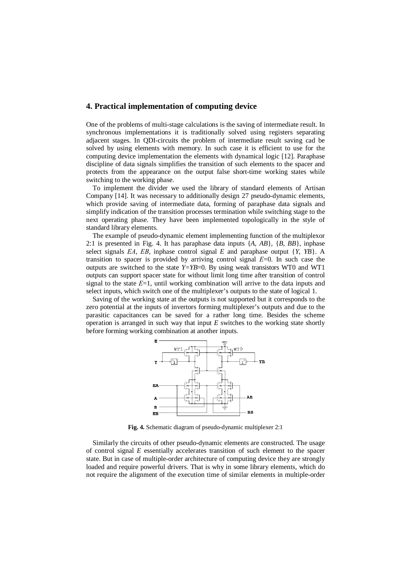#### **4. Practical implementation of computing device**

One of the problems of multi-stage calculations is the saving of intermediate result. In synchronous implementations it is traditionally solved using registers separating adjacent stages. In QDI-circuits the problem of intermediate result saving cad be solved by using elements with memory. In such case it is efficient to use for the computing device implementation the elements with dynamical logic [12]. Paraphase discipline of data signals simplifies the transition of such elements to the spacer and protects from the appearance on the output false short-time working states while switching to the working phase.

To implement the divider we used the library of standard elements of Artisan Company [14]. It was necessary to additionally design 27 pseudo-dynamic elements, which provide saving of intermediate data, forming of paraphase data signals and simplify indication of the transition processes termination while switching stage to the next operating phase. They have been implemented topologically in the style of standard library elements.

The example of pseudo-dynamic element implementing function of the multiplexor 2:1 is presented in Fig. 4. It has paraphase data inputs {*A, AB*}, {*B, BB*}, inphase select signals *EA*, *EB*, inphase control signal *E* and paraphase output  $\{Y, YB\}$ . A transition to spacer is provided by arriving control signal *Е*=0. In such case the outputs are switched to the state  $Y=YB=0$ . By using weak transistors WT0 and WT1 outputs can support spacer state for without limit long time after transition of control signal to the state *Е*=1, until working combination will arrive to the data inputs and select inputs, which switch one of the multiplexer's outputs to the state of logical 1.

Saving of the working state at the outputs is not supported but it corresponds to the zero potential at the inputs of invertors forming multiplexer's outputs and due to the parasitic capacitances can be saved for a rather long time. Besides the scheme operation is arranged in such way that input *E* switches to the working state shortly before forming working combination at another inputs.



**Fig. 4.** Schematic diagram of pseudo-dynamic multiplexer 2:1

Similarly the circuits of other pseudo-dynamic elements are constructed. The usage of control signal *E* essentially accelerates transition of such element to the spacer state. But in case of multiple-order architecture of computing device they are strongly loaded and require powerful drivers. That is why in some library elements, which do not require the alignment of the execution time of similar elements in multiple-order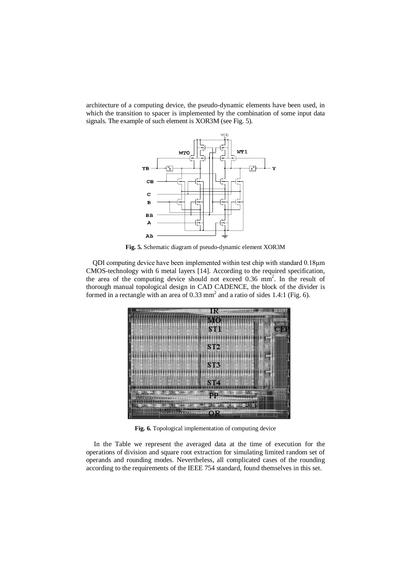architecture of a computing device, the pseudo-dynamic elements have been used, in which the transition to spacer is implemented by the combination of some input data signals. The example of such element is XOR3M (see Fig. 5).



**Fig. 5.** Schematic diagram of pseudo-dynamic element XOR3M

QDI computing device have been implemented within test chip with standard 0.18µm CMOS-technology with 6 metal layers [14]. According to the required specification, the area of the computing device should not exceed 0.36 mm 2 . In the result of thorough manual topological design in CAD CADENCE, the block of the divider is formed in a rectangle with an area of 0.33 mm 2 and a ratio of sides 1.4:1 (Fig. 6).

|            | MO              |  |
|------------|-----------------|--|
|            | ST1<br>СШ       |  |
|            | ST2             |  |
|            |                 |  |
|            | ST <sub>3</sub> |  |
|            |                 |  |
|            | ST4             |  |
|            | םם              |  |
| <b>MIN</b> |                 |  |
|            |                 |  |

**Fig. 6.** Topological implementation of computing device

In the Table we represent the averaged data at the time of execution for the operations of division and square root extraction for simulating limited random set of operands and rounding modes. Nevertheless, all complicated cases of the rounding according to the requirements of the IEEE 754 standard, found themselves in this set.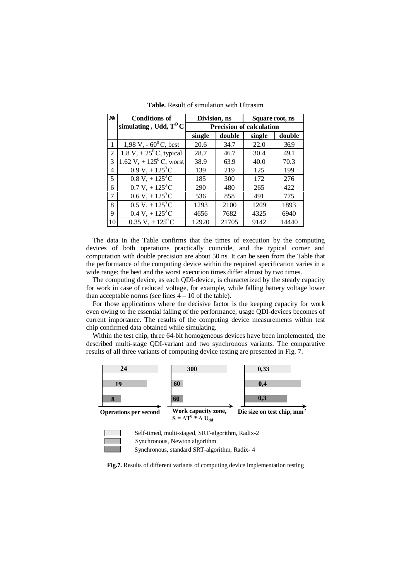| $N_2$                    | <b>Conditions of</b>                  | Division, ns                    |        | Square root, ns |        |  |
|--------------------------|---------------------------------------|---------------------------------|--------|-----------------|--------|--|
|                          | simulating, Udd, $T^{0}C$             | <b>Precision of calculation</b> |        |                 |        |  |
|                          |                                       | single                          | double | single          | double |  |
| 1                        | 1,98 V, $-60^{\circ}$ C, best         | 20.6                            | 34.7   | 22.0            | 36.9   |  |
| $\mathfrak{D}$           | 1.8 V, + $25^{\circ}$ C, typical      | 28.7                            | 46.7   | 30.4            | 49.1   |  |
| 3                        | 1.62 V, $+ 125$ <sup>0</sup> C, worst | 38.9                            | 63.9   | 40.0            | 70.3   |  |
| 4                        | $0.9 V + 125^{0} C$                   | 139                             | 219    | 125             | 199    |  |
| $\overline{\phantom{0}}$ | $0.8 V + 125^0 C$                     | 185                             | 300    | 172             | 276    |  |
| 6                        | $0.7 V_+ + 125^0 C$                   | 290                             | 480    | 265             | 422    |  |
| 7                        | $0.6 V + 125^0 C$                     | 536                             | 858    | 491             | 775    |  |
| 8                        | $0.5 V$ , + $125^0 C$                 | 1293                            | 2100   | 1209            | 1893   |  |
| 9                        | $0.4 V + 125^{\circ}C$                | 4656                            | 7682   | 4325            | 6940   |  |
| 10                       | $0.35 V + 125^{0} C$                  | 12920                           | 21705  | 9142            | 14440  |  |

**Table.** Result of simulation with Ultrasim

The data in the Table confirms that the times of execution by the computing devices of both operations practically coincide, and the typical corner and computation with double precision are about 50 ns. It can be seen from the Table that the performance of the computing device within the required specification varies in a wide range: the best and the worst execution times differ almost by two times.

The computing device, as each QDI-device, is characterized by the steady capacity for work in case of reduced voltage, for example, while falling battery voltage lower than acceptable norms (see lines  $4 - 10$  of the table).

For those applications where the decisive factor is the keeping capacity for work even owing to the essential falling of the performance, usage QDI-devices becomes of current importance. The results of the computing device measurements within test chip confirmed data obtained while simulating.

Within the test chip, three 64-bit homogeneous devices have been implemented, the described multi-stage QDI-variant and two synchronous variants. The comparative results of all three variants of computing device testing are presented in Fig. 7.



**Fig.7.** Results of different variants of computing device implementation testing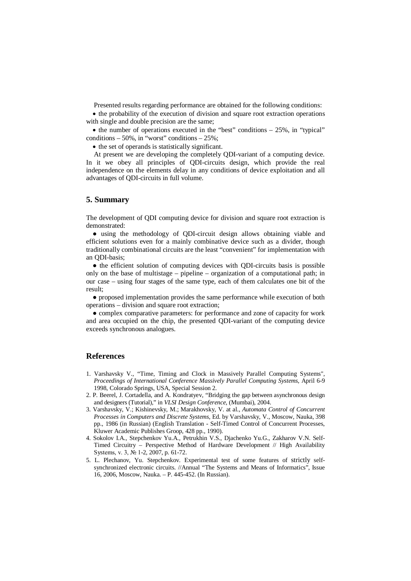Presented results regarding performance are obtained for the following conditions:

• the probability of the execution of division and square root extraction operations with single and double precision are the same;

 $\bullet$  the number of operations executed in the "best" conditions  $-25\%$ , in "typical" conditions  $-50\%$ , in "worst" conditions  $-25\%$ ;

• the set of operands is statistically significant.

At present we are developing the completely QDI-variant of a computing device. In it we obey all principles of QDI-circuits design, which provide the real independence on the elements delay in any conditions of device exploitation and all advantages of QDI-circuits in full volume.

## **5. Summary**

The development of QDI computing device for division and square root extraction is demonstrated:

● using the methodology of QDI-circuit design allows obtaining viable and efficient solutions even for a mainly combinative device such as a divider, though traditionally combinational circuits are the least "convenient" for implementation with an QDI-basis;

• the efficient solution of computing devices with ODI-circuits basis is possible only on the base of multistage – pipeline – organization of a computational path; in our case – using four stages of the same type, each of them calculates one bit of the result;

● proposed implementation provides the same performance while execution of both operations – division and square root extraction;

● complex comparative parameters: for performance and zone of capacity for work and area occupied on the chip, the presented QDI-variant of the computing device exceeds synchronous analogues.

#### **References**

- 1. Varshavsky V., "Time, Timing and Clock in Massively Parallel Computing Systems", *Proceedings of International Conference Massively Parallel Computing Systems*, April 6-9 1998, Colorado Springs, USA, Special Session 2.
- 2. P. Beerel, J. Cortadella, and A. Kondratyev, "Bridging the gap between asynchronous design and designers (Tutorial)," in *VLSI Design Conference*, (Mumbai), 2004.
- 3. Varshavsky, V.; Kishinevsky, M.; Marakhovsky, V. at al., *Automata Control of Concurrent Processes in Computers and Discrete Systems*, Ed. by Varshavsky, V., Moscow, Nauka, 398 pp., 1986 (in Russian) (English Translation - Self-Timed Control of Concurrent Processes, Kluwer Academic Publishes Groop, 428 pp., 1990).
- 4. Sokolov I.A., Stepchenkov Yu.A., Petrukhin V.S., Djachenko Yu.G., Zakharov V.N. Self-Timed Circuitry – Perspective Method of Hardware Development // High Availability Systems, v. 3, № 1-2, 2007, p. 61-72.
- 5. L. Plechanov, Yu. Stepchenkov. Experimental test of some features of strictly selfsynchronized electronic circuits. //Annual "The Systems and Means of Informatics", Issue 16, 2006, Moscow, Nauka. – P. 445-452. (In Russian).